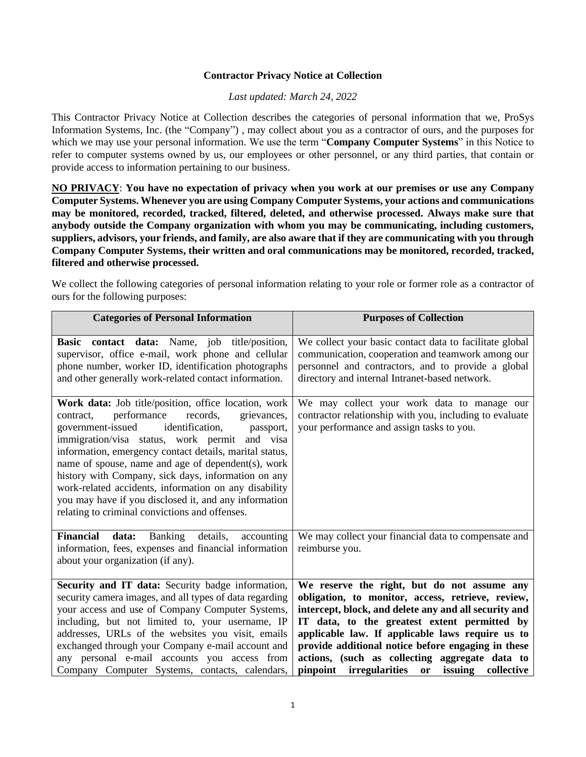## **Contractor Privacy Notice at Collection**

## *Last updated: March 24, 2022*

This Contractor Privacy Notice at Collection describes the categories of personal information that we, ProSys Information Systems, Inc. (the "Company") , may collect about you as a contractor of ours, and the purposes for which we may use your personal information. We use the term "**Company Computer Systems**" in this Notice to refer to computer systems owned by us, our employees or other personnel, or any third parties, that contain or provide access to information pertaining to our business.

**NO PRIVACY**: **You have no expectation of privacy when you work at our premises or use any Company Computer Systems. Whenever you are using Company Computer Systems, your actions and communications may be monitored, recorded, tracked, filtered, deleted, and otherwise processed. Always make sure that anybody outside the Company organization with whom you may be communicating, including customers, suppliers, advisors, your friends, and family, are also aware that if they are communicating with you through Company Computer Systems, their written and oral communications may be monitored, recorded, tracked, filtered and otherwise processed.**

We collect the following categories of personal information relating to your role or former role as a contractor of ours for the following purposes:

| <b>Categories of Personal Information</b>                                                                                                                                                                                                                                                                                                                                                                                                                                                                                                                     | <b>Purposes of Collection</b>                                                                                                                                                                                                                                                                                                                                                                                                |
|---------------------------------------------------------------------------------------------------------------------------------------------------------------------------------------------------------------------------------------------------------------------------------------------------------------------------------------------------------------------------------------------------------------------------------------------------------------------------------------------------------------------------------------------------------------|------------------------------------------------------------------------------------------------------------------------------------------------------------------------------------------------------------------------------------------------------------------------------------------------------------------------------------------------------------------------------------------------------------------------------|
| Basic contact data: Name, job title/position,<br>supervisor, office e-mail, work phone and cellular<br>phone number, worker ID, identification photographs<br>and other generally work-related contact information.                                                                                                                                                                                                                                                                                                                                           | We collect your basic contact data to facilitate global<br>communication, cooperation and teamwork among our<br>personnel and contractors, and to provide a global<br>directory and internal Intranet-based network.                                                                                                                                                                                                         |
| Work data: Job title/position, office location, work<br>performance<br>records,<br>grievances,<br>contract,<br>identification,<br>government-issued<br>passport,<br>immigration/visa status, work permit and visa<br>information, emergency contact details, marital status,<br>name of spouse, name and age of dependent(s), work<br>history with Company, sick days, information on any<br>work-related accidents, information on any disability<br>you may have if you disclosed it, and any information<br>relating to criminal convictions and offenses. | We may collect your work data to manage our<br>contractor relationship with you, including to evaluate<br>your performance and assign tasks to you.                                                                                                                                                                                                                                                                          |
| Financial data:<br>Banking<br>details,<br>accounting<br>information, fees, expenses and financial information<br>about your organization (if any).                                                                                                                                                                                                                                                                                                                                                                                                            | We may collect your financial data to compensate and<br>reimburse you.                                                                                                                                                                                                                                                                                                                                                       |
| Security and IT data: Security badge information,<br>security camera images, and all types of data regarding<br>your access and use of Company Computer Systems,<br>including, but not limited to, your username, IP<br>addresses, URLs of the websites you visit, emails<br>exchanged through your Company e-mail account and<br>any personal e-mail accounts you access from<br>Company Computer Systems, contacts, calendars,                                                                                                                              | We reserve the right, but do not assume any<br>obligation, to monitor, access, retrieve, review,<br>intercept, block, and delete any and all security and<br>IT data, to the greatest extent permitted by<br>applicable law. If applicable laws require us to<br>provide additional notice before engaging in these<br>actions, (such as collecting aggregate data to<br>pinpoint irregularities or<br>issuing<br>collective |